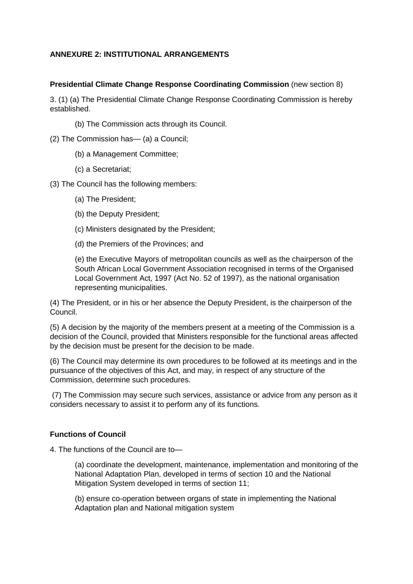## **ANNEXURE 2: INSTITUTIONAL ARRANGEMENTS**

### **Presidential Climate Change Response Coordinating Commission** (new section 8)

3. (1) (a) The Presidential Climate Change Response Coordinating Commission is hereby established.

(b) The Commission acts through its Council.

(2) The Commission has— (a) a Council;

- (b) a Management Committee;
- (c) a Secretariat;

(3) The Council has the following members:

- (a) The President;
- (b) the Deputy President;
- (c) Ministers designated by the President;
- (d) the Premiers of the Provinces; and

(e) the Executive Mayors of metropolitan councils as well as the chairperson of the South African Local Government Association recognised in terms of the Organised Local Government Act, 1997 (Act No. 52 of 1997), as the national organisation representing municipalities.

(4) The President, or in his or her absence the Deputy President, is the chairperson of the Council.

(5) A decision by the majority of the members present at a meeting of the Commission is a decision of the Council, provided that Ministers responsible for the functional areas affected by the decision must be present for the decision to be made.

(6) The Council may determine its own procedures to be followed at its meetings and in the pursuance of the objectives of this Act, and may, in respect of any structure of the Commission, determine such procedures.

(7) The Commission may secure such services, assistance or advice from any person as it considers necessary to assist it to perform any of its functions.

### **Functions of Council**

4. The functions of the Council are to—

(a) coordinate the development, maintenance, implementation and monitoring of the National Adaptation Plan, developed in terms of section 10 and the National Mitigation System developed in terms of section 11;

(b) ensure co-operation between organs of state in implementing the National Adaptation plan and National mitigation system